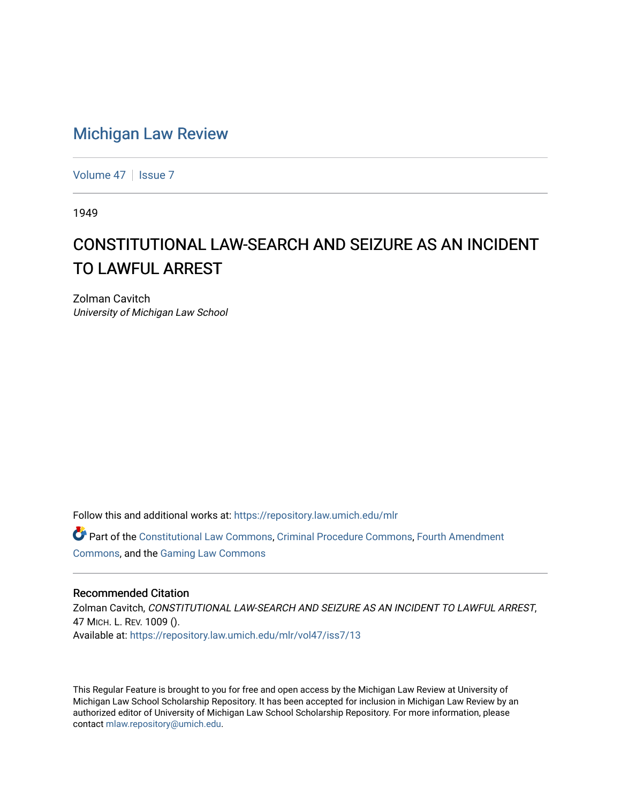## [Michigan Law Review](https://repository.law.umich.edu/mlr)

[Volume 47](https://repository.law.umich.edu/mlr/vol47) | [Issue 7](https://repository.law.umich.edu/mlr/vol47/iss7)

1949

## CONSTITUTIONAL LAW-SEARCH AND SEIZURE AS AN INCIDENT TO LAWFUL ARREST

Zolman Cavitch University of Michigan Law School

Follow this and additional works at: [https://repository.law.umich.edu/mlr](https://repository.law.umich.edu/mlr?utm_source=repository.law.umich.edu%2Fmlr%2Fvol47%2Fiss7%2F13&utm_medium=PDF&utm_campaign=PDFCoverPages) 

Part of the [Constitutional Law Commons,](http://network.bepress.com/hgg/discipline/589?utm_source=repository.law.umich.edu%2Fmlr%2Fvol47%2Fiss7%2F13&utm_medium=PDF&utm_campaign=PDFCoverPages) [Criminal Procedure Commons,](http://network.bepress.com/hgg/discipline/1073?utm_source=repository.law.umich.edu%2Fmlr%2Fvol47%2Fiss7%2F13&utm_medium=PDF&utm_campaign=PDFCoverPages) [Fourth Amendment](http://network.bepress.com/hgg/discipline/1180?utm_source=repository.law.umich.edu%2Fmlr%2Fvol47%2Fiss7%2F13&utm_medium=PDF&utm_campaign=PDFCoverPages) [Commons](http://network.bepress.com/hgg/discipline/1180?utm_source=repository.law.umich.edu%2Fmlr%2Fvol47%2Fiss7%2F13&utm_medium=PDF&utm_campaign=PDFCoverPages), and the [Gaming Law Commons](http://network.bepress.com/hgg/discipline/1117?utm_source=repository.law.umich.edu%2Fmlr%2Fvol47%2Fiss7%2F13&utm_medium=PDF&utm_campaign=PDFCoverPages)

## Recommended Citation

Zolman Cavitch, CONSTITUTIONAL LAW-SEARCH AND SEIZURE AS AN INCIDENT TO LAWFUL ARREST, 47 MICH. L. REV. 1009 (). Available at: [https://repository.law.umich.edu/mlr/vol47/iss7/13](https://repository.law.umich.edu/mlr/vol47/iss7/13?utm_source=repository.law.umich.edu%2Fmlr%2Fvol47%2Fiss7%2F13&utm_medium=PDF&utm_campaign=PDFCoverPages) 

This Regular Feature is brought to you for free and open access by the Michigan Law Review at University of Michigan Law School Scholarship Repository. It has been accepted for inclusion in Michigan Law Review by an authorized editor of University of Michigan Law School Scholarship Repository. For more information, please contact [mlaw.repository@umich.edu](mailto:mlaw.repository@umich.edu).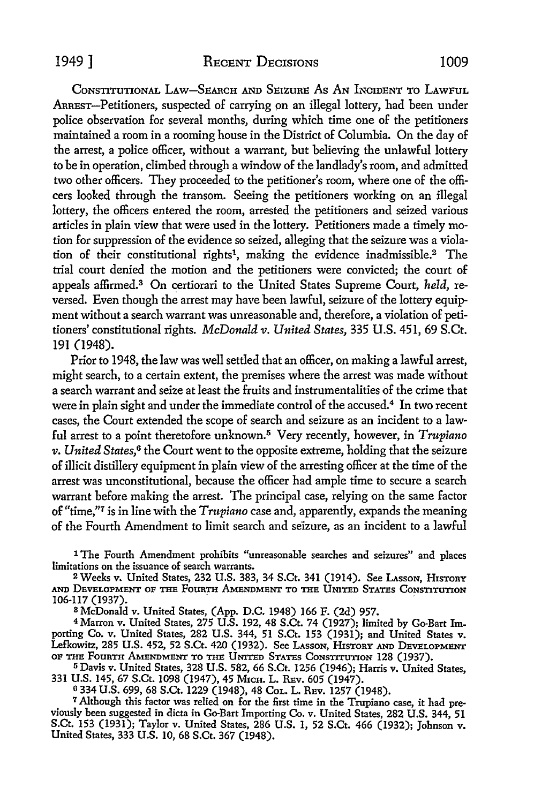CoNSTITUTIONAL LAw-SEARCH AND SEIZURE As AN INCIDENT To LAWFUL ARREST-Petitioners, suspected of carrying on an illegal lottery, had been under police observation for several months, during which time one of the petitioners maintained a room in a rooming house in the District of Columbia. On the day of the arrest, a police officer, without a warrant, but believing the unlawful lottery to be in operation, climbed through a window of the landlady's room, and admitted two other officers. They proceeded to the petitioner's room, where one of the officers looked through the transom. Seeing the petitioners working on an illegal lottery, the officers entered the room, arrested the petitioners and seized various articles in plain view that were used in the lottery. Petitioners made a timely motion for suppression of the evidence so seized, alleging that the seizure was a violation of their constitutional rights<sup>1</sup>, making the evidence inadmissible.<sup>2</sup> The trial court denied the motion and the petitioners were convicted; the court of appeals affirmed.3 On certiorari to the United States Supreme Court, *held,* reversed. Even though the arrest may have been lawful, seizure of the lottery equipment without a search warrant was unreasonable and, therefore, a violation of petitioners' constitutional rights. *McDonald v. United States,* 335 U.S. 451, 69 S.Ct. 191 (1948).

Prior *to* 1948, the law was well settled that an officer, on making a lawful arrest, might search, *to* a certain extent, the premises where the arrest was made without a search warrant and seize at least the fruits and instrumentalities of the crime that were in plain sight and under the immediate control of the accused.<sup>4</sup> In two recent cases, the Court extended the scope of search and seizure as an incident to a lawful arrest to a point theretofore unknown.<sup>5</sup>Very recently, however, in *Trupiano v. United States*,<sup>6</sup> the Court went to the opposite extreme, holding that the seizure of illicit distillery equipment in plain view of the arresting officer at the time of the arrest was unconstitutional, because the officer had ample time to secure a search warrant before making the arrest. The principal case, relying on the same factor of "time,"7 is in line with the *Trupiano* case and, apparently, expands the meaning of the Fourth Amendment to limit search and seizure, as an incident to a lawful

1 The Fourth Amendment prohibits "unreasonable searches and seizures" and places limitations on the issuance of search warrants.

<sup>2</sup> Weeks v. United States, 232 U.S. 383, 34 S.Ct. 341 (1914). See LAsson, HISTORY AND DEVELOPMENT OF THE FOURTH AMENDMENT TO THE UNITED STATES CONSTITUTION 106-117 (1937). .

3 McDonald v. United States, (App. D.C. 1948) 166 F. (2d) 957.

4 Marron v. United States, 275 U.S. 192, 48 S.Ct. 74 (1927); limited by Go-Bart Importing Co. v. United States, 282 U.S. 344, 51 S.Ct. 153 (1931); and United States v. Lefkowitz, 285 U.S. 452, 52 S.Ct. 420 (1932). See LAsson, HISTORY AND DEVELOPMENT OF THE FOURTH AMENDMENT TO THE UNITED STATES CONSTITUTION 128 (1937).

<sup>5</sup>Davis v. United States, 328 U.S. 582, 66 S.Ct. 1256 (1946); Harris v. United States, 331 U.S. 145, 67 S.Ct. 1098 (1947), 45 Mich. L. Rev. 605 (1947).<br><sup>6</sup> 334 U.S. 699, 68 S.Ct. 1229 (1948), 48 Col. L. Rev. 1257 (1948).

<sup>7</sup> Although this factor was relied on for the first time in the Trupiano case, it had previously been suggested in dicta in Go-Bart Importing Co. v. United States, 282 U.S. 344, 51 S.Ct. 153 (1931); Taylor v. United States, 286 U.S. l, 52 S.Ct. 466 (1932); Johnson v. United States, 333 U.S. IO, 68 S.Ct. 367 (1948).